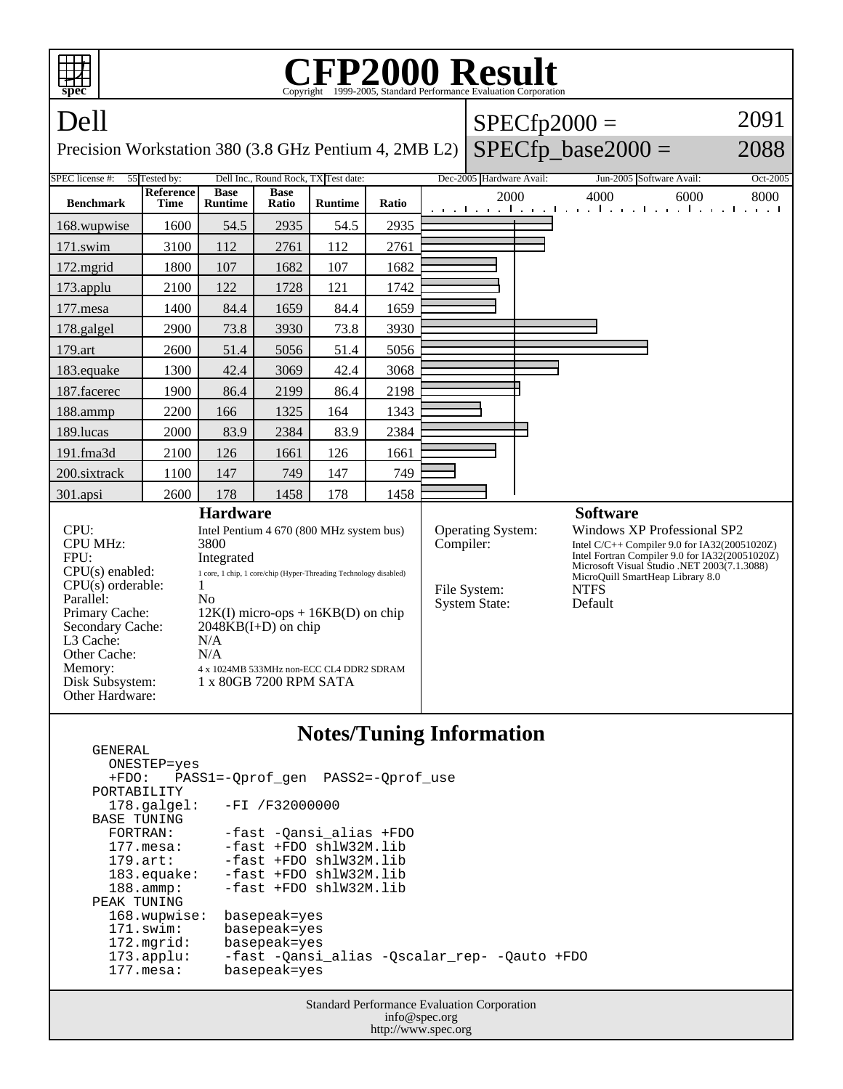| <b>FP2000 Result</b><br>Copyright ©1999-2005, Standard Performance Evaluation Corporation<br>spec                                                                                                            |                                                       |                                                                                                                                                                                                                                                                                                                                                                          |                      |                |       |                |                                                                               |  |                                                                                                                                                                                                                                                               |          |
|--------------------------------------------------------------------------------------------------------------------------------------------------------------------------------------------------------------|-------------------------------------------------------|--------------------------------------------------------------------------------------------------------------------------------------------------------------------------------------------------------------------------------------------------------------------------------------------------------------------------------------------------------------------------|----------------------|----------------|-------|----------------|-------------------------------------------------------------------------------|--|---------------------------------------------------------------------------------------------------------------------------------------------------------------------------------------------------------------------------------------------------------------|----------|
| Dell                                                                                                                                                                                                         |                                                       |                                                                                                                                                                                                                                                                                                                                                                          |                      |                |       | $SPECfp2000 =$ |                                                                               |  |                                                                                                                                                                                                                                                               | 2091     |
| $SPECfp\_base2000 =$<br>2088<br>Precision Workstation 380 (3.8 GHz Pentium 4, 2MB L2)                                                                                                                        |                                                       |                                                                                                                                                                                                                                                                                                                                                                          |                      |                |       |                |                                                                               |  |                                                                                                                                                                                                                                                               |          |
| <b>SPEC</b> license #:                                                                                                                                                                                       | 55 Tested by:<br>Dell Inc., Round Rock, TX Test date: |                                                                                                                                                                                                                                                                                                                                                                          |                      |                |       |                | Dec-2005 Hardware Avail:                                                      |  | Jun-2005 Software Avail:                                                                                                                                                                                                                                      | Oct-2005 |
| <b>Benchmark</b>                                                                                                                                                                                             | Reference<br>Time                                     | <b>Base</b><br><b>Runtime</b>                                                                                                                                                                                                                                                                                                                                            | <b>Base</b><br>Ratio | <b>Runtime</b> | Ratio |                | 2000                                                                          |  | 4000<br>6000<br>and the and the anti-transition of the and the anti-transit                                                                                                                                                                                   | 8000     |
| 168.wupwise                                                                                                                                                                                                  | 1600                                                  | 54.5                                                                                                                                                                                                                                                                                                                                                                     | 2935                 | 54.5           | 2935  |                |                                                                               |  |                                                                                                                                                                                                                                                               |          |
| $171$ .swim                                                                                                                                                                                                  | 3100                                                  | 112                                                                                                                                                                                                                                                                                                                                                                      | 2761                 | 112            | 2761  |                |                                                                               |  |                                                                                                                                                                                                                                                               |          |
| $172$ . mgrid                                                                                                                                                                                                | 1800                                                  | 107                                                                                                                                                                                                                                                                                                                                                                      | 1682                 | 107            | 1682  |                |                                                                               |  |                                                                                                                                                                                                                                                               |          |
| 173.applu                                                                                                                                                                                                    | 2100                                                  | 122                                                                                                                                                                                                                                                                                                                                                                      | 1728                 | 121            | 1742  |                |                                                                               |  |                                                                                                                                                                                                                                                               |          |
| 177.mesa                                                                                                                                                                                                     | 1400                                                  | 84.4                                                                                                                                                                                                                                                                                                                                                                     | 1659                 | 84.4           | 1659  |                |                                                                               |  |                                                                                                                                                                                                                                                               |          |
| 178.galgel                                                                                                                                                                                                   | 2900                                                  | 73.8                                                                                                                                                                                                                                                                                                                                                                     | 3930                 | 73.8           | 3930  |                |                                                                               |  |                                                                                                                                                                                                                                                               |          |
| 179.art                                                                                                                                                                                                      | 2600                                                  | 51.4                                                                                                                                                                                                                                                                                                                                                                     | 5056                 | 51.4           | 5056  |                |                                                                               |  |                                                                                                                                                                                                                                                               |          |
| 183.equake                                                                                                                                                                                                   | 1300                                                  | 42.4                                                                                                                                                                                                                                                                                                                                                                     | 3069                 | 42.4           | 3068  |                |                                                                               |  |                                                                                                                                                                                                                                                               |          |
| 187.facerec                                                                                                                                                                                                  | 1900                                                  | 86.4                                                                                                                                                                                                                                                                                                                                                                     | 2199                 | 86.4           | 2198  |                |                                                                               |  |                                                                                                                                                                                                                                                               |          |
| 188.ammp                                                                                                                                                                                                     | 2200                                                  | 166                                                                                                                                                                                                                                                                                                                                                                      | 1325                 | 164            | 1343  |                |                                                                               |  |                                                                                                                                                                                                                                                               |          |
| 189.lucas                                                                                                                                                                                                    | 2000                                                  | 83.9                                                                                                                                                                                                                                                                                                                                                                     | 2384                 | 83.9           | 2384  |                |                                                                               |  |                                                                                                                                                                                                                                                               |          |
| 191.fma3d                                                                                                                                                                                                    | 2100                                                  | 126                                                                                                                                                                                                                                                                                                                                                                      | 1661                 | 126            | 1661  |                |                                                                               |  |                                                                                                                                                                                                                                                               |          |
| 200.sixtrack                                                                                                                                                                                                 | 1100                                                  | 147                                                                                                                                                                                                                                                                                                                                                                      | 749                  | 147            | 749   |                |                                                                               |  |                                                                                                                                                                                                                                                               |          |
| 301.apsi                                                                                                                                                                                                     | 2600                                                  | 178                                                                                                                                                                                                                                                                                                                                                                      | 1458                 | 178            | 1458  |                |                                                                               |  |                                                                                                                                                                                                                                                               |          |
| CPU:<br><b>CPU MHz:</b><br>FPU:<br>$CPU(s)$ enabled:<br>$CPU(s)$ orderable:<br>Parallel:<br>Primary Cache:<br>Secondary Cache:<br>L3 Cache:<br>Other Cache:<br>Memory:<br>Disk Subsystem:<br>Other Hardware: |                                                       | <b>Hardware</b><br>Intel Pentium 4 670 (800 MHz system bus)<br>3800<br>Integrated<br>$1\,\, {\rm core},\, 1\,\, {\rm chip},\, 1\,\, {\rm core/chip}$ (Hyper-Threading Technology disabled)<br>1<br>N <sub>o</sub><br>$12K(I)$ micro-ops + $16KB(D)$ on chip<br>$2048KB(I+D)$ on chip<br>N/A<br>N/A<br>4 x 1024MB 533MHz non-ECC CL4 DDR2 SDRAM<br>1 x 80GB 7200 RPM SATA |                      |                |       |                | <b>Operating System:</b><br>Compiler:<br>File System:<br><b>System State:</b> |  | <b>Software</b><br>Windows XP Professional SP2<br>Intel C/C++ Compiler 9.0 for IA32(20051020Z)<br>Intel Fortran Compiler 9.0 for IA32(20051020Z)<br>Microsoft Visual Studio .NET 2003(7.1.3088)<br>MicroQuill SmartHeap Library 8.0<br><b>NTFS</b><br>Default |          |

## **Notes/Tuning Information**

 GENERAL ONESTEP=yes<br>+FDO: PAS; PASS1=-Qprof\_gen PASS2=-Qprof\_use PORTABILITY<br>178.galgel: -FI /F32000000 BASE TUNING<br>FORTRAN: FORTRAN: -fast -Qansi\_alias +FDO<br>177.mesa: -fast +FDO shlW32M.lib 177.mesa: -fast +FDO shlW32M.lib<br>179.art: -fast +FDO shlW32M.lib -fast +FDO shlW32M.lib 183.equake: -fast +FDO shlW32M.lib<br>188.ammp: -fast +FDO shlW32M.lib -fast +FDO shlW32M.lib PEAK TUNING 168.wupwise: basepeak=yes<br>171.swim: basepeak=yes 171.swim: basepeak=yes<br>172.mgrid: basepeak=yes basepeak=yes 173.applu: -fast -Qansi\_alias -Qscalar\_rep- -Qauto +FDO basepeak=yes

> Standard Performance Evaluation Corporation info@spec.org http://www.spec.org